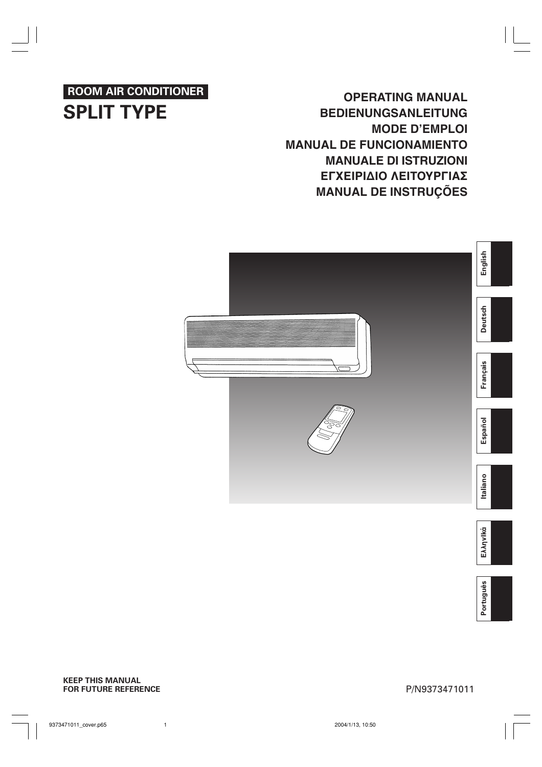## **ROOM AIR CONDITIONER SPLIT TYPE**

**OPERATING MANUAL BEDIENUNGSANLEITUNG MODE D'EMPLOI MANUAL DE FUNCIONAMIENTO MANUALE DI ISTRUZIONI** ΕΓΧΕΙΡΙΔΙΟ ΛΕΙΤΟΥΡΓΙΑΣ **MANUAL DE INSTRUÇÕES**



**EλληvIkά**

Português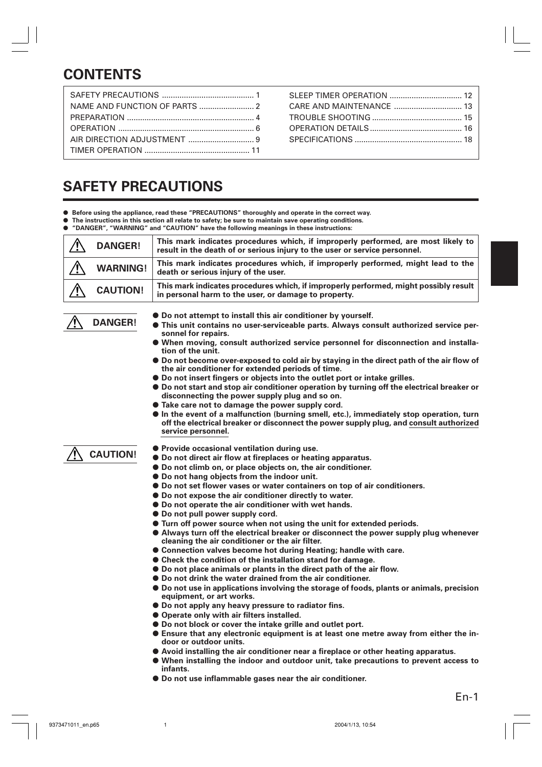# **CONTENTS**

SLEEP TIMER OPERATION ................................. 12 CARE AND MAINTENANCE ............................... 13 TROUBLE SHOOTING ......................................... 15 OPERATION DETAILS.......................................... 16 SPECIFICATIONS ................................................. 18

# **SAFETY PRECAUTIONS**

- **Before using the appliance, read these "PRECAUTIONS" thoroughly and operate in the correct way.**
- **The instructions in this section all relate to safety; be sure to maintain save operating conditions.**
- **"DANGER", "WARNING" and "CAUTION" have the following meanings in these instructions:**

| <b>DANGER!</b>  | This mark indicates procedures which, if improperly performed, are most likely to<br>result in the death of or serious injury to the user or service personnel. |
|-----------------|-----------------------------------------------------------------------------------------------------------------------------------------------------------------|
| <b>WARNING!</b> | This mark indicates procedures which, if improperly performed, might lead to the<br>death or serious injury of the user.                                        |
| <b>CAUTION!</b> | This mark indicates procedures which, if improperly performed, might possibly result<br>in personal harm to the user, or damage to property.                    |



- Do not attempt to install this air conditioner by yourself.
- **This unit contains no user-serviceable parts. Always consult authorized service personnel for repairs.**
- When moving, consult authorized service personnel for disconnection and installa**tion of the unit.**
- **Do not become over-exposed to cold air by staying in the direct path of the air flow of the air conditioner for extended periods of time.**
- **Do not insert fingers or objects into the outlet port or intake grilles.**
- **Do not start and stop air conditioner operation by turning off the electrical breaker or disconnecting the power supply plug and so on.**
- Take care not to damage the power supply cord.
- **In the event of a malfunction (burning smell, etc.), immediately stop operation, turn off the electrical breaker or disconnect the power supply plug, and consult authorized service personnel.**

## **CAUTION!**

- **Provide occasional ventilation during use.**
- Do not direct air flow at fireplaces or heating apparatus.
- **Do not climb on, or place objects on, the air conditioner.**
- **Do not hang objects from the indoor unit.**
- **Do not set flower vases or water containers on top of air conditioners.**
- **Do not expose the air conditioner directly to water.**
- **Do not operate the air conditioner with wet hands.**
- **Do not pull power supply cord.**
- **Turn off power source when not using the unit for extended periods.**
- Always turn off the electrical breaker or disconnect the power supply plug whenever **cleaning the air conditioner or the air filter.**
- **Connection valves become hot during Heating; handle with care.**
- **Check the condition of the installation stand for damage.**
- **Do not place animals or plants in the direct path of the air flow.**
- **Do not drink the water drained from the air conditioner.**
- **Do not use in applications involving the storage of foods, plants or animals, precision equipment, or art works.**
- **Do not apply any heavy pressure to radiator fins.**
- **Operate only with air filters installed.**
- **Do not block or cover the intake grille and outlet port.**
- **Ensure that any electronic equipment is at least one metre away from either the indoor or outdoor units.**
- **Avoid installing the air conditioner near a fireplace or other heating apparatus.**
- **When installing the indoor and outdoor unit, take precautions to prevent access to infants.**
- **Do not use inflammable gases near the air conditioner.**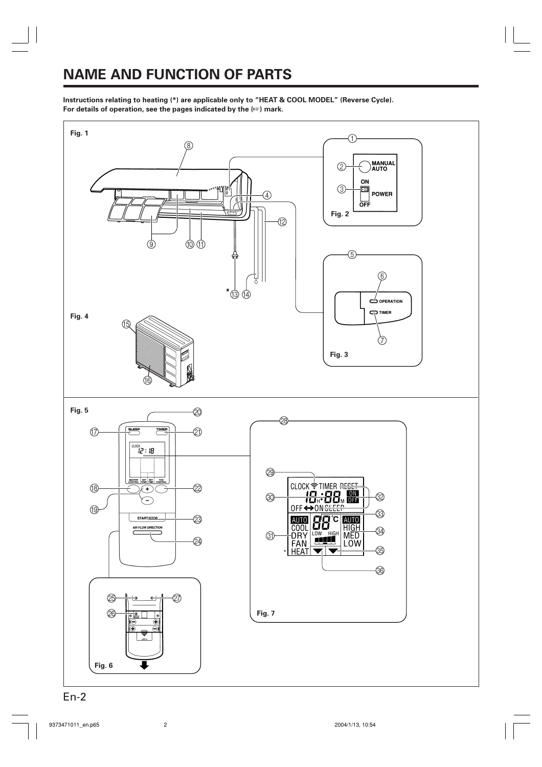## **NAME AND FUNCTION OF PARTS**

**Instructions relating to heating (\*) are applicable only to "HEAT & COOL MODEL" (Reverse Cycle). For details of operation, see the pages indicated by the (**☞**) mark.**

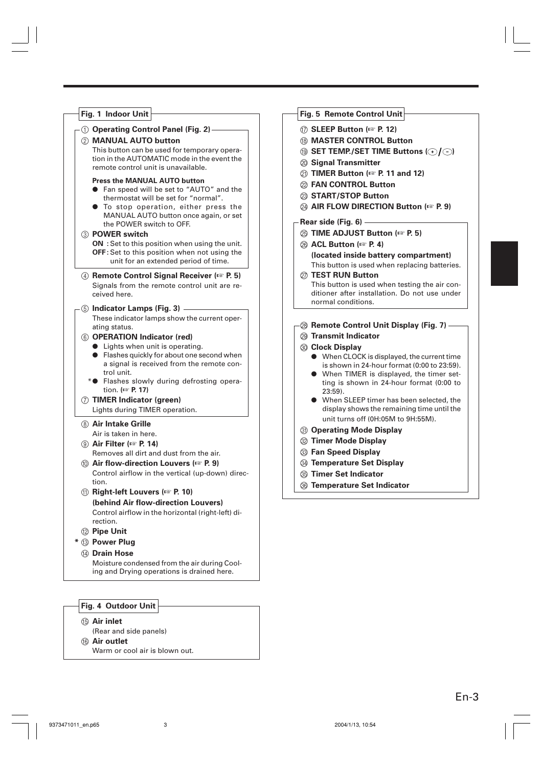| Fig. 1 Indoor Unit                                                                                                                                                                                                                                                                                                                                                                                                                                                                                                                                                                                                                                                                                            | Fig. 5 Remote Control Unit                                                                                                                                                                                                                                                                                                                                                                                                                                                                                                                                                                                                                |
|---------------------------------------------------------------------------------------------------------------------------------------------------------------------------------------------------------------------------------------------------------------------------------------------------------------------------------------------------------------------------------------------------------------------------------------------------------------------------------------------------------------------------------------------------------------------------------------------------------------------------------------------------------------------------------------------------------------|-------------------------------------------------------------------------------------------------------------------------------------------------------------------------------------------------------------------------------------------------------------------------------------------------------------------------------------------------------------------------------------------------------------------------------------------------------------------------------------------------------------------------------------------------------------------------------------------------------------------------------------------|
| 1 Operating Control Panel (Fig. 2) -<br>2 MANUAL AUTO button<br>This button can be used for temporary opera-<br>tion in the AUTOMATIC mode in the event the<br>remote control unit is unavailable.<br><b>Press the MANUAL AUTO button</b><br>• Fan speed will be set to "AUTO" and the<br>thermostat will be set for "normal".<br>• To stop operation, either press the<br>MANUAL AUTO button once again, or set                                                                                                                                                                                                                                                                                              | 12) SLEEP Button (Fig. P. 12)<br><b>18 MASTER CONTROL Button</b><br><b><sup><b><i>③</i> SET TEMP./SET TIME Buttons (</b>○/○)</sup></b><br>@ Signal Transmitter<br>20 TIMER Button ( $\approx$ P. 11 and 12)<br>2 FAN CONTROL Button<br>23 START/STOP Button<br><b>@ AIR FLOW DIRECTION Button (<math>\text{F}</math> P. 9)</b>                                                                                                                                                                                                                                                                                                            |
| the POWER switch to OFF.<br>3 POWER switch<br>ON : Set to this position when using the unit.<br>OFF: Set to this position when not using the<br>unit for an extended period of time.<br>4 Remote Control Signal Receiver ( $\approx$ P. 5)<br>Signals from the remote control unit are re-<br>ceived here.                                                                                                                                                                                                                                                                                                                                                                                                    | Rear side (Fig. 6) —<br>26 TIME ADJUST Button (ESP P. 5)<br>26 ACL Button (For P. 4)<br>(located inside battery compartment)<br>This button is used when replacing batteries.<br><b>27 TEST RUN Button</b><br>This button is used when testing the air con-<br>ditioner after installation. Do not use under                                                                                                                                                                                                                                                                                                                              |
| 5 Indicator Lamps (Fig. 3) -<br>These indicator lamps show the current oper-<br>ating status.<br>6 OPERATION Indicator (red)<br>• Lights when unit is operating.<br>• Flashes quickly for about one second when<br>a signal is received from the remote con-<br>trol unit.<br>* <sup>•</sup> Flashes slowly during defrosting opera-<br>tion. ( <sub>c</sub> P. 17)<br>7 TIMER Indicator (green)<br>Lights during TIMER operation.<br><b>8 Air Intake Grille</b><br>Air is taken in here.<br><b>(9) Air Filter (<math>\infty</math> P. 14)</b><br>Removes all dirt and dust from the air.<br><b>(iii)</b> Air flow-direction Louvers ( $\mathbb{F}$ P. 9)<br>Control airflow in the vertical (up-down) direc- | normal conditions.<br><b>8 Remote Control Unit Display (Fig. 7)</b> —<br>29 Transmit Indicator<br><b>30 Clock Display</b><br>• When CLOCK is displayed, the current time<br>is shown in 24-hour format (0:00 to 23:59).<br>• When TIMER is displayed, the timer set-<br>ting is shown in 24-hour format (0:00 to<br>$23:59$ ).<br>• When SLEEP timer has been selected, the<br>display shows the remaining time until the<br>unit turns off (0H:05M to 9H:55M).<br><b>3 Operating Mode Display</b><br><b>22 Timer Mode Display</b><br>3 Fan Speed Display<br><b>@ Temperature Set Display</b><br><b><sup>33</sup> Timer Set Indicator</b> |
| tion.<br><b>10) Right-left Louvers (BS P. 10)</b><br>(behind Air flow-direction Louvers)<br>Control airflow in the horizontal (right-left) di-<br>rection.<br><sup>2</sup> Pipe Unit<br>* 3 Power Plug<br>(4) Drain Hose<br>Moisture condensed from the air during Cool-<br>ing and Drying operations is drained here.                                                                                                                                                                                                                                                                                                                                                                                        | <b><sup>36</sup> Temperature Set Indicator</b>                                                                                                                                                                                                                                                                                                                                                                                                                                                                                                                                                                                            |

- E **Air inlet**
- (Rear and side panels) **6** Air outlet

Warm or cool air is blown out.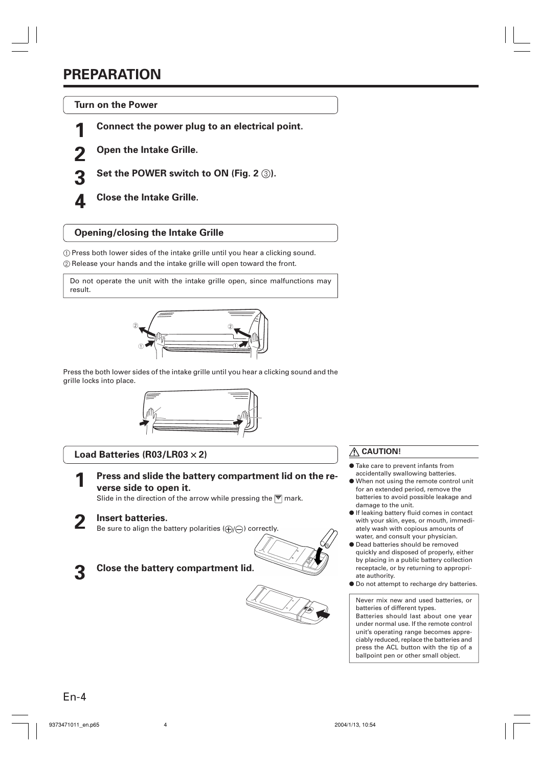## **PREPARATION**

**Turn on the Power**

**1 Connect the power plug to an electrical point.**

**2 Open the Intake Grille.**

**3 Set the POWER switch to ON (Fig. 2** 3**).**

**4 Close the Intake Grille.**

## **Opening/closing the Intake Grille**

1 Press both lower sides of the intake grille until you hear a clicking sound.

2 Release your hands and the intake grille will open toward the front.

Do not operate the unit with the intake grille open, since malfunctions may result.



Press the both lower sides of the intake grille until you hear a clicking sound and the grille locks into place.



## **Load Batteries (R03/LR03** × **2)**

**1 Press and slide the battery compartment lid on the reverse side to open it.**

Slide in the direction of the arrow while pressing the  $\overline{\nabla}$  mark.

## **2 Insert batteries.**

Be sure to align the battery polarities  $(\bigoplus/\bigcap)$  correctly.



## **3 Close the battery compartment lid.**





## **CAUTION!**

- Take care to prevent infants from accidentally swallowing batteries.
- When not using the remote control unit for an extended period, remove the batteries to avoid possible leakage and damage to the unit.
- If leaking battery fluid comes in contact with your skin, eyes, or mouth, immediately wash with copious amounts of water, and consult your physician.
- Dead batteries should be removed quickly and disposed of properly, either by placing in a public battery collection receptacle, or by returning to appropriate authority.
- Do not attempt to recharge dry batteries.

Never mix new and used batteries, or batteries of different types. Batteries should last about one year

under normal use. If the remote control unit's operating range becomes appreciably reduced, replace the batteries and press the ACL button with the tip of a ballpoint pen or other small object.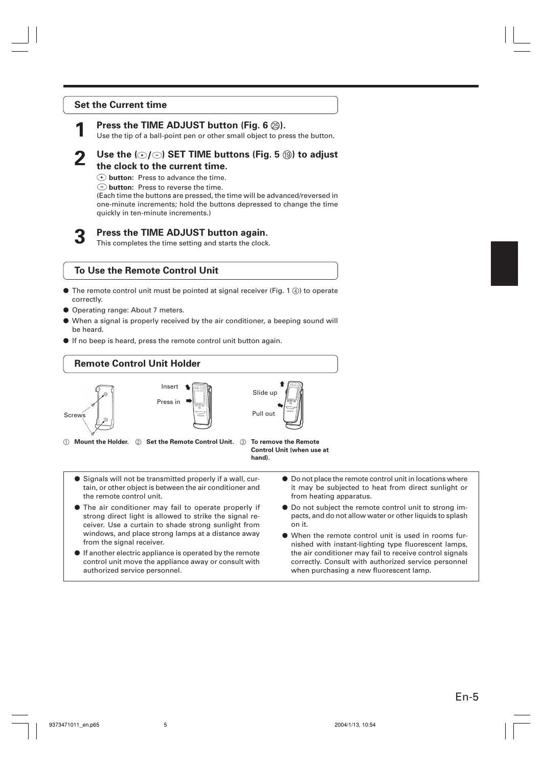#### **Set the Current time**

## **Press the TIME ADJUST button (Fig. 6**  $\circledS$ **).**

Use the tip of a ball-point pen or other small object to press the button.

## **2 Use the ( ) SET TIME buttons (Fig. 5** I**) to adjust the clock to the current time.**

**button:** Press to advance the time.

**button:** Press to reverse the time.

(Each time the buttons are pressed, the time will be advanced/reversed in one-minute increments; hold the buttons depressed to change the time quickly in ten-minute increments.)

#### **3 Press the TIME ADJUST button again.**

This completes the time setting and starts the clock.

#### **To Use the Remote Control Unit**

- $\bullet$  The remote control unit must be pointed at signal receiver (Fig. 1  $\ddot{a}$ ) to operate correctly.
- Operating range: About 7 meters.
- When a signal is properly received by the air conditioner, a beeping sound will be heard.
- If no beep is heard, press the remote control unit button again.

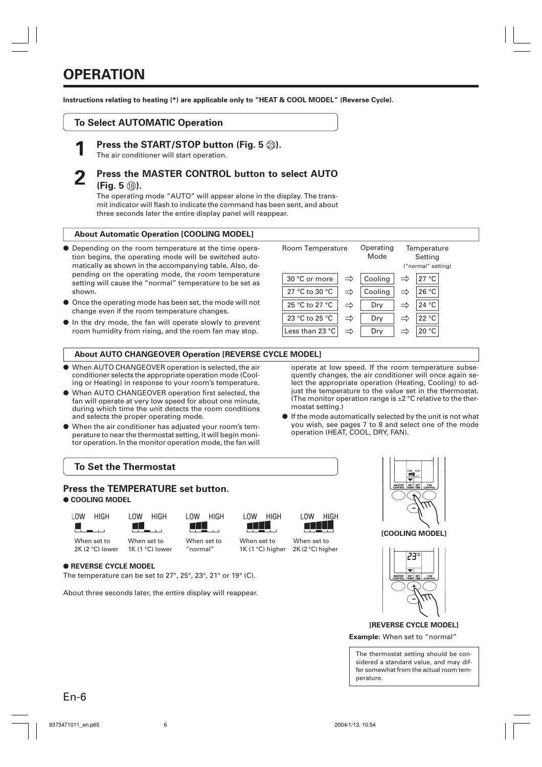**Instructions relating to heating (\*) are applicable only to "HEAT & COOL MODEL" (Reverse Cycle).**

## **To Select AUTOMATIC Operation**

**Press the START/STOP button (Fig. 5**  $\textcircled{3}$ **).** 

The air conditioner will start operation.

## **2 Press the MASTER CONTROL button to select AUTO (Fig. 5**  $\circledR$ **).**

The operating mode "AUTO" will appear alone in the display. The transmit indicator will flash to indicate the command has been sent, and about three seconds later the entire display panel will reappear.

#### **About Automatic Operation [COOLING MODEL]**

- Depending on the room temperature at the time operation begins, the operating mode will be switched automatically as shown in the accompanying table. Also, depending on the operating mode, the room temperature setting will cause the "normal" temperature to be set as shown.
- Once the operating mode has been set, the mode will not change even if the room temperature changes.
- In the dry mode, the fan will operate slowly to prevent room humidity from rising, and the room fan may stop.

## **About AUTO CHANGEOVER Operation [REVERSE CYCLE MODEL]**

- When AUTO CHANGEOVER operation is selected, the air conditioner selects the appropriate operation mode (Cooling or Heating) in response to your room's temperature.
- When AUTO CHANGEOVER operation first selected, the fan will operate at very low speed for about one minute, during which time the unit detects the room conditions and selects the proper operating mode.
- When the air conditioner has adjusted your room's temperature to near the thermostat setting, it will begin monitor operation. In the monitor operation mode, the fan will
- 23 °C to 25 °C  $\Rightarrow$  Dry  $\Rightarrow$  22 °C Less than 23 °C  $\Rightarrow$  Dry  $\Rightarrow$  20 °C operate at low speed. If the room temperature subsequently changes, the air conditioner will once again select the appropriate operation (Heating, Cooling) to adjust the temperature to the value set in the thermostat.

30 °C or more  $\vert \Rightarrow \vert$  Cooling  $\vert \Rightarrow \vert$  27 °C 27 °C to 30 °C  $\Rightarrow$  Cooling  $\Rightarrow$  26 °C 25 °C to 27 °C  $\Rightarrow$  Dry  $\Rightarrow$  24 °C

**Operating** Mode

Room Temperature

mostat setting.) ● If the mode automatically selected by the unit is not what you wish, see pages 7 to 8 and select one of the mode operation (HEAT, COOL, DRY, FAN).

(The monitor operation range is  $\pm 2$  °C relative to the ther-





**Temperature** Setting ("normal" setting)

**[COOLING MODEL]**



**Example:** When set to "normal" **[REVERSE CYCLE MODEL]**

The thermostat setting should be considered a standard value, and may differ somewhat from the actual room temperature.

#### ● **REVERSE CYCLE MODEL**

The temperature can be set to 27°, 25°, 23°, 21° or 19° (C).

About three seconds later, the entire display will reappear.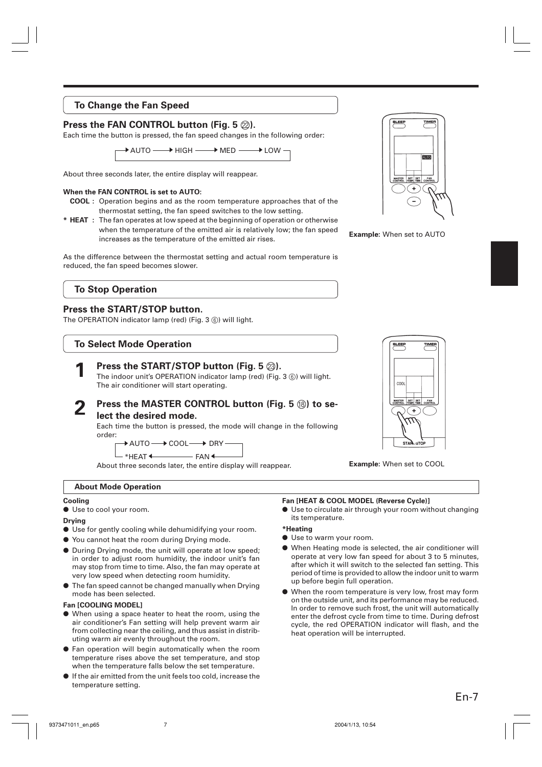## **To Change the Fan Speed**

## **Press the FAN CONTROL button (Fig. 5**  $\oslash$ **).**

Each time the button is pressed, the fan speed changes in the following order:

 $\,\blacktriangleright$  AUTO  $\longrightarrow$  HIGH  $\longrightarrow$  MED  $\longrightarrow$  LOW

About three seconds later, the entire display will reappear.

#### **When the FAN CONTROL is set to AUTO:**

- **COOL :** Operation begins and as the room temperature approaches that of the thermostat setting, the fan speed switches to the low setting.
- **\* HEAT :** The fan operates at low speed at the beginning of operation or otherwise when the temperature of the emitted air is relatively low; the fan speed increases as the temperature of the emitted air rises.

As the difference between the thermostat setting and actual room temperature is reduced, the fan speed becomes slower.

## **To Stop Operation**

#### **Press the START/STOP button.**

The OPERATION indicator lamp (red) (Fig. 3 ®) will light.

## **To Select Mode Operation**



**2** Press the MASTER CONTROL button (Fig. 5 ®) to se-

#### **lect the desired mode.**

Each time the button is pressed, the mode will change in the following order:

 $\rightarrow$  AUTO  $\longrightarrow$  COOL  $\longrightarrow$  DRY

\*HEAT <-------------- FAN  $-FAN$ 

About three seconds later, the entire display will reappear.

#### **About Mode Operation**

#### **Cooling**

● Use to cool your room.

#### **Drying**

- Use for gently cooling while dehumidifying your room.
- You cannot heat the room during Drying mode.
- During Drying mode, the unit will operate at low speed; in order to adjust room humidity, the indoor unit's fan may stop from time to time. Also, the fan may operate at very low speed when detecting room humidity.
- The fan speed cannot be changed manually when Drying mode has been selected.

#### **Fan [COOLING MODEL]**

- When using a space heater to heat the room, using the air conditioner's Fan setting will help prevent warm air from collecting near the ceiling, and thus assist in distributing warm air evenly throughout the room.
- Fan operation will begin automatically when the room temperature rises above the set temperature, and stop when the temperature falls below the set temperature.
- If the air emitted from the unit feels too cold, increase the temperature setting.

#### **Fan [HEAT & COOL MODEL (Reverse Cycle)]**

● Use to circulate air through your room without changing its temperature.

#### **\*Heating**

- Use to warm your room.
- When Heating mode is selected, the air conditioner will operate at very low fan speed for about 3 to 5 minutes, after which it will switch to the selected fan setting. This period of time is provided to allow the indoor unit to warm up before begin full operation.
- When the room temperature is very low, frost may form on the outside unit, and its performance may be reduced. In order to remove such frost, the unit will automatically enter the defrost cycle from time to time. During defrost cycle, the red OPERATION indicator will flash, and the heat operation will be interrupted.

 $\ddot{\phantom{1}}$ 

MASTER SET SET FAN

**ALITO** 

**Example:** When set to AUTO



**Example:** When set to COOL

En-7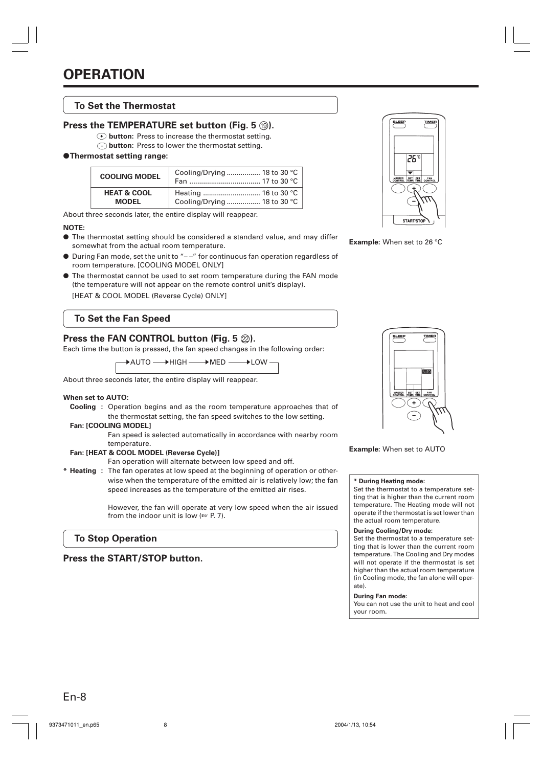### **To Set the Thermostat**

#### **Press the TEMPERATURE set button (Fig. 5**  $\textcircled{\tiny{10}}$ **).**

- $\odot$  **button:** Press to increase the thermostat setting.
- **button:** Press to lower the thermostat setting.

#### ●**Thermostat setting range:**

| <b>COOLING MODEL</b>   | Cooling/Drying  18 to 30 $^{\circ}$ C |
|------------------------|---------------------------------------|
| <b>HEAT &amp; COOL</b> |                                       |
| <b>MODEL</b>           | Cooling/Drying  18 to 30 °C           |

About three seconds later, the entire display will reappear.

#### **NOTE:**

- The thermostat setting should be considered a standard value, and may differ somewhat from the actual room temperature.
- During Fan mode, set the unit to "--" for continuous fan operation regardless of room temperature. [COOLING MODEL ONLY]
- The thermostat cannot be used to set room temperature during the FAN mode (the temperature will not appear on the remote control unit's display). [HEAT & COOL MODEL (Reverse Cycle) ONLY]

## **To Set the Fan Speed**

## **Press the FAN CONTROL button (Fig. 5**  $\varnothing$ **).**

Each time the button is pressed, the fan speed changes in the following order:

DAUTO — DHIGH — DMED — DLOW

About three seconds later, the entire display will reappear.

#### **When set to AUTO:**

**Cooling :** Operation begins and as the room temperature approaches that of the thermostat setting, the fan speed switches to the low setting.

#### **Fan: [COOLING MODEL]**

Fan speed is selected automatically in accordance with nearby room temperature.

#### **Fan: [HEAT & COOL MODEL (Reverse Cycle)]**

Fan operation will alternate between low speed and off.

**\* Heating :** The fan operates at low speed at the beginning of operation or otherwise when the temperature of the emitted air is relatively low; the fan speed increases as the temperature of the emitted air rises.

> However, the fan will operate at very low speed when the air issued from the indoor unit is low (☞ P. 7).

## **To Stop Operation**

**Press the START/STOP button.**



**Example:** When set to 26 °C



**Example:** When set to AUTO

#### **\* During Heating mode:**

Set the thermostat to a temperature setting that is higher than the current room temperature. The Heating mode will not operate if the thermostat is set lower than the actual room temperature.

#### **During Cooling/Dry mode:**

Set the thermostat to a temperature setting that is lower than the current room temperature. The Cooling and Dry modes will not operate if the thermostat is set higher than the actual room temperature (in Cooling mode, the fan alone will operate).

#### **During Fan mode:**

You can not use the unit to heat and cool your room.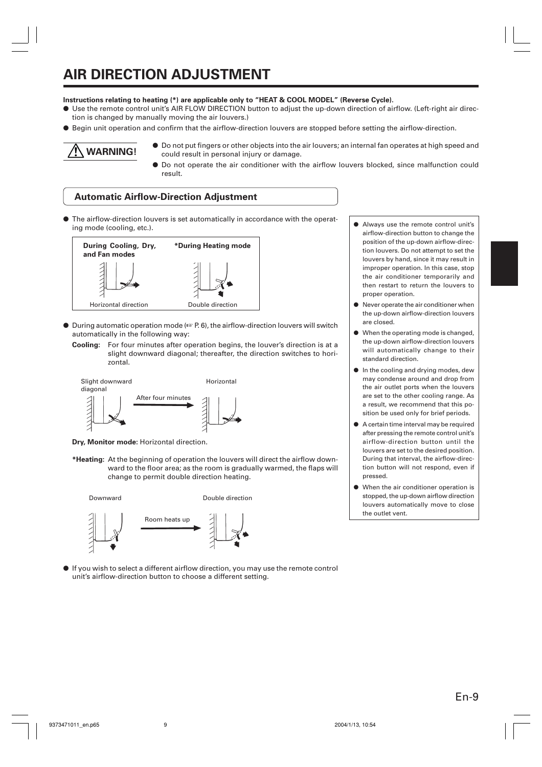# **AIR DIRECTION ADJUSTMENT**

#### **Instructions relating to heating (\*) are applicable only to "HEAT & COOL MODEL" (Reverse Cycle).**

- Use the remote control unit's AIR FLOW DIRECTION button to adjust the up-down direction of airflow. (Left-right air direction is changed by manually moving the air louvers.)
- Begin unit operation and confirm that the airflow-direction louvers are stopped before setting the airflow-direction.



● Do not put fingers or other objects into the air louvers; an internal fan operates at high speed and could result in personal injury or damage.

● Do not operate the air conditioner with the airflow louvers blocked, since malfunction could result.

#### **Automatic Airflow-Direction Adjustment**

● The airflow-direction louvers is set automatically in accordance with the operating mode (cooling, etc.).



- During automatic operation mode (☞ P. 6), the airflow-direction louvers will switch automatically in the following way:
	- **Cooling:** For four minutes after operation begins, the louver's direction is at a slight downward diagonal; thereafter, the direction switches to horizontal.



**Dry, Monitor mode:** Horizontal direction.

**\*Heating:** At the beginning of operation the louvers will direct the airflow downward to the floor area; as the room is gradually warmed, the flaps will change to permit double direction heating.







● If you wish to select a different airflow direction, you may use the remote control unit's airflow-direction button to choose a different setting.

- Always use the remote control unit's airflow-direction button to change the position of the up-down airflow-direction louvers. Do not attempt to set the louvers by hand, since it may result in improper operation. In this case, stop the air conditioner temporarily and then restart to return the louvers to proper operation.
- Never operate the air conditioner when the up-down airflow-direction louvers are closed.
- When the operating mode is changed, the up-down airflow-direction louvers will automatically change to their standard direction.
- In the cooling and drying modes, dew may condense around and drop from the air outlet ports when the louvers are set to the other cooling range. As a result, we recommend that this position be used only for brief periods.
- A certain time interval may be required after pressing the remote control unit's airflow-direction button until the louvers are set to the desired position. During that interval, the airflow-direction button will not respond, even if pressed.
- When the air conditioner operation is stopped, the up-down airflow direction louvers automatically move to close the outlet vent.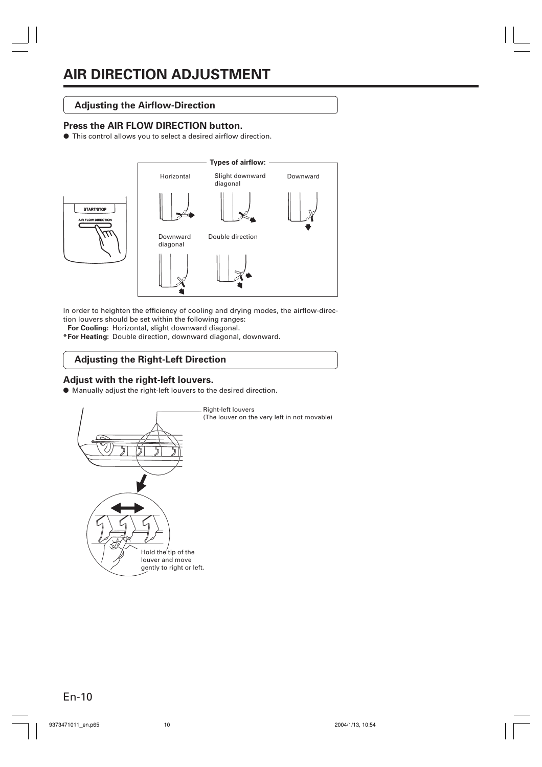## **Adjusting the Airflow-Direction**

#### **Press the AIR FLOW DIRECTION button.**

● This control allows you to select a desired airflow direction.



In order to heighten the efficiency of cooling and drying modes, the airflow-direction louvers should be set within the following ranges:

**For Cooling:** Horizontal, slight downward diagonal.

**\*For Heating:** Double direction, downward diagonal, downward.

## **Adjusting the Right-Left Direction**

#### **Adjust with the right-left louvers.**

● Manually adjust the right-left louvers to the desired direction.

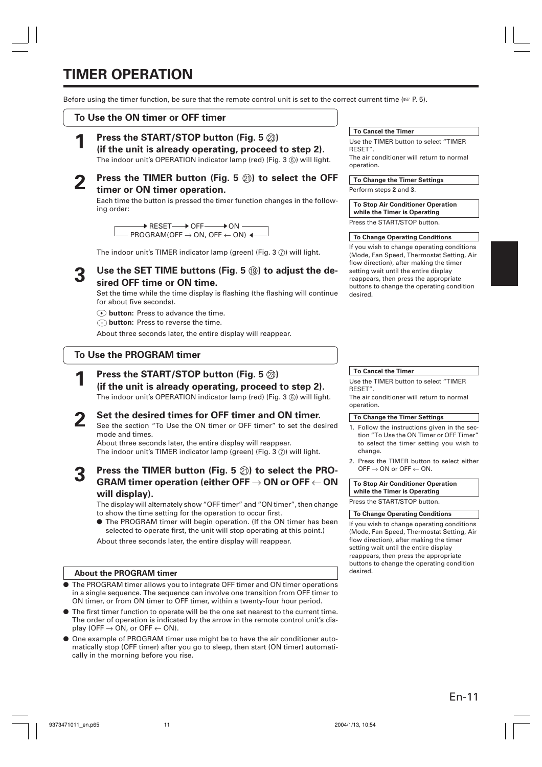## **TIMER OPERATION**

Before using the timer function, be sure that the remote control unit is set to the correct current time (☞ P. 5).

## **To Use the ON timer or OFF timer**

## **Press the START/STOP button (Fig. 5**  $\textcircled{3}$ **)**

**(if the unit is already operating, proceed to step 2).** The indoor unit's OPERATION indicator lamp (red) (Fig. 3 ®) will light.

**2 Press the TIMER button (Fig. 5** K**) to select the OFF timer or ON timer operation.**

Each time the button is pressed the timer function changes in the following order:

> $\overline{\phantom{a}}$  RESET $\longrightarrow$  OFF  $\longrightarrow$  ON  $PROGRAM(OFF \rightarrow ON, OFF \leftarrow ON)$  4

The indoor unit's TIMER indicator lamp (green) (Fig. 3  $(7)$ ) will light.

Use the SET TIME buttons (Fig. 5 <sup>(3)</sup>) to adjust the de**sired OFF time or ON time.**

Set the time while the time display is flashing (the flashing will continue for about five seconds).

- **button:** Press to advance the time.
- **button:** Press to reverse the time.

About three seconds later, the entire display will reappear.

## **To Use the PROGRAM timer**

**Press the START/STOP button (Fig. 5**  $\textcircled{3}$ **)** 

**(if the unit is already operating, proceed to step 2).** The indoor unit's OPERATION indicator lamp (red) (Fig. 3 ®) will light.

## **2 Set the desired times for OFF timer and ON timer.**

See the section "To Use the ON timer or OFF timer" to set the desired mode and times.

About three seconds later, the entire display will reappear. The indoor unit's TIMER indicator lamp (green) (Fig. 3  $(7)$ ) will light.

## **3 Press the TIMER button (Fig. 5** K**) to select the PRO-GRAM timer operation (either OFF** → **ON or OFF** ← **ON will display).**

The display will alternately show "OFF timer" and "ON timer", then change to show the time setting for the operation to occur first.

● The PROGRAM timer will begin operation. (If the ON timer has been selected to operate first, the unit will stop operating at this point.)

About three seconds later, the entire display will reappear.

#### **About the PROGRAM timer** desired.

- The PROGRAM timer allows you to integrate OFF timer and ON timer operations in a single sequence. The sequence can involve one transition from OFF timer to ON timer, or from ON timer to OFF timer, within a twenty-four hour period.
- The first timer function to operate will be the one set nearest to the current time. The order of operation is indicated by the arrow in the remote control unit's display (OFF  $\rightarrow$  ON, or OFF  $\leftarrow$  ON).
- One example of PROGRAM timer use might be to have the air conditioner automatically stop (OFF timer) after you go to sleep, then start (ON timer) automatically in the morning before you rise.

#### **To Cancel the Timer**

Use the TIMER button to select "TIMER RESET". The air conditioner will return to normal operation.

**To Change the Timer Settings**

Perform steps **2** and **3**.

**To Stop Air Conditioner Operation while the Timer is Operating**

Press the START/STOP button.

#### **To Change Operating Conditions**

If you wish to change operating conditions (Mode, Fan Speed, Thermostat Setting, Air flow direction), after making the timer setting wait until the entire display reappears, then press the appropriate buttons to change the operating condition desired.

#### **To Cancel the Timer**

Use the TIMER button to select "TIMER RESET".

The air conditioner will return to normal operation.

#### **To Change the Timer Settings**

- 1. Follow the instructions given in the section "To Use the ON Timer or OFF Timer" to select the timer setting you wish to change.
- 2. Press the TIMER button to select either OFF  $\rightarrow$  ON or OFF  $\leftarrow$  ON.

**To Stop Air Conditioner Operation while the Timer is Operating**

Press the START/STOP button.

#### **To Change Operating Conditions**

If you wish to change operating conditions (Mode, Fan Speed, Thermostat Setting, Air flow direction), after making the timer setting wait until the entire display reappears, then press the appropriate buttons to change the operating condition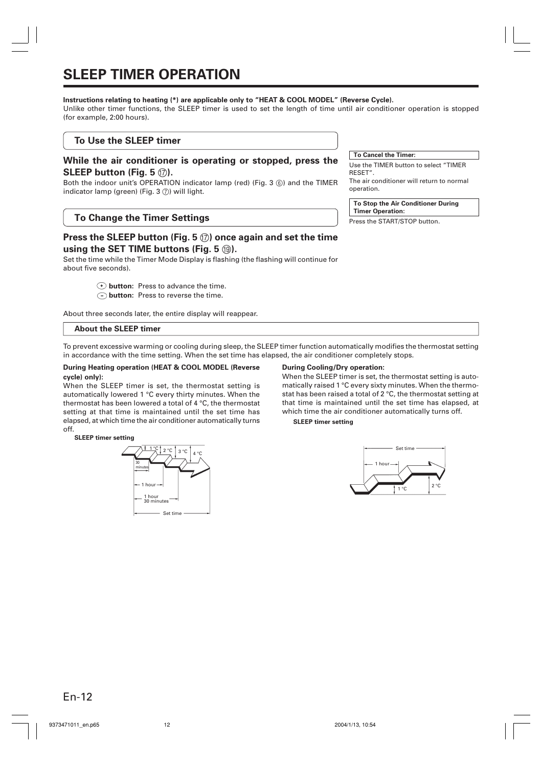## **SLEEP TIMER OPERATION**

#### **Instructions relating to heating (\*) are applicable only to "HEAT & COOL MODEL" (Reverse Cycle).**

Unlike other timer functions, the SLEEP timer is used to set the length of time until air conditioner operation is stopped (for example, 2:00 hours).

#### **To Use the SLEEP timer**

#### **While the air conditioner is operating or stopped, press the SLEEP button (Fig. 5** G**).**

Both the indoor unit's OPERATION indicator lamp (red) (Fig. 3 6) and the TIMER indicator lamp (green) (Fig.  $3(7)$ ) will light.

## **To Change the Timer Settings**

## **Press the SLEEP button (Fig. 5** G**) once again and set the time using the SET TIME buttons (Fig. 5** I**).**

Set the time while the Timer Mode Display is flashing (the flashing will continue for about five seconds).

- **button:** Press to advance the time.
- **button:** Press to reverse the time.

About three seconds later, the entire display will reappear.

#### **About the SLEEP timer**

To prevent excessive warming or cooling during sleep, the SLEEP timer function automatically modifies the thermostat setting in accordance with the time setting. When the set time has elapsed, the air conditioner completely stops.

#### **During Heating operation (HEAT & COOL MODEL (Reverse cycle) only):**

When the SLEEP timer is set, the thermostat setting is automatically lowered 1 °C every thirty minutes. When the thermostat has been lowered a total of 4 °C, the thermostat setting at that time is maintained until the set time has elapsed, at which time the air conditioner automatically turns off.

**SLEEP timer setting**



#### **During Cooling/Dry operation:**

When the SLEEP timer is set, the thermostat setting is automatically raised 1 °C every sixty minutes. When the thermostat has been raised a total of 2 °C, the thermostat setting at that time is maintained until the set time has elapsed, at which time the air conditioner automatically turns off.

**SLEEP timer setting**



**To Cancel the Timer:** Use the TIMER button to select "TIMER

RESET". The air conditioner will return to normal operation.

**To Stop the Air Conditioner During Timer Operation:**

Press the START/STOP button.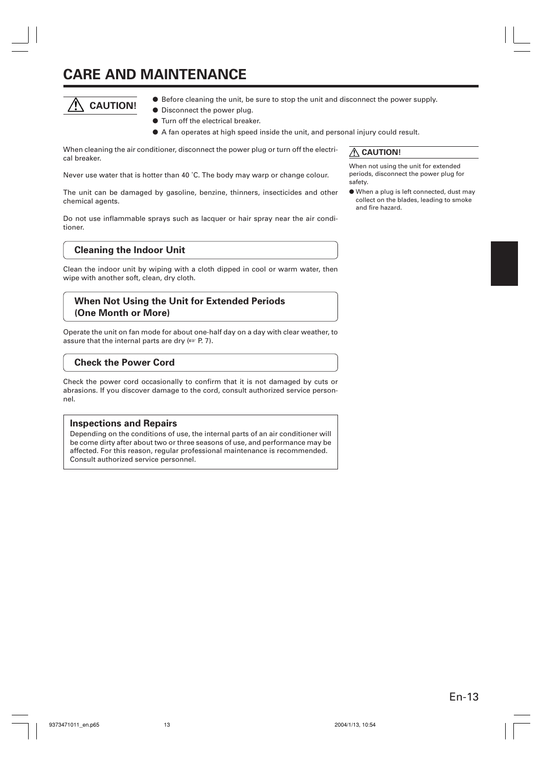## **CARE AND MAINTENANCE**



- Before cleaning the unit, be sure to stop the unit and disconnect the power supply.
	- Disconnect the power plug.
	- Turn off the electrical breaker.
	- A fan operates at high speed inside the unit, and personal injury could result.

When cleaning the air conditioner, disconnect the power plug or turn off the electrical breaker.

Never use water that is hotter than 40 ˚C. The body may warp or change colour.

The unit can be damaged by gasoline, benzine, thinners, insecticides and other chemical agents.

Do not use inflammable sprays such as lacquer or hair spray near the air conditioner.

#### **Cleaning the Indoor Unit**

Clean the indoor unit by wiping with a cloth dipped in cool or warm water, then wipe with another soft, clean, dry cloth.

## **When Not Using the Unit for Extended Periods (One Month or More)**

Operate the unit on fan mode for about one-half day on a day with clear weather, to assure that the internal parts are dry (☞ P. 7).

## **Check the Power Cord**

Check the power cord occasionally to confirm that it is not damaged by cuts or abrasions. If you discover damage to the cord, consult authorized service personnel.

#### **Inspections and Repairs**

Depending on the conditions of use, the internal parts of an air conditioner will be come dirty after about two or three seasons of use, and performance may be affected. For this reason, regular professional maintenance is recommended. Consult authorized service personnel.

 **CAUTION!**

When not using the unit for extended periods, disconnect the power plug for safety.

● When a plug is left connected, dust may collect on the blades, leading to smoke and fire hazard.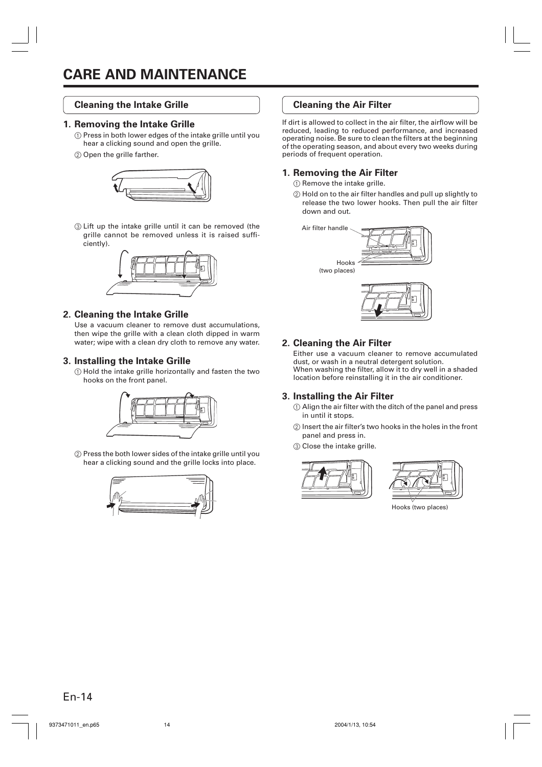### **Cleaning the Intake Grille**

#### **1. Removing the Intake Grille**

- 1 Press in both lower edges of the intake grille until you hear a clicking sound and open the grille.
- 2 Open the grille farther.



3 Lift up the intake grille until it can be removed (the grille cannot be removed unless it is raised sufficiently).



#### **2. Cleaning the Intake Grille**

Use a vacuum cleaner to remove dust accumulations, then wipe the grille with a clean cloth dipped in warm water; wipe with a clean dry cloth to remove any water.

#### **3. Installing the Intake Grille**

1 Hold the intake grille horizontally and fasten the two hooks on the front panel.



2 Press the both lower sides of the intake grille until you hear a clicking sound and the grille locks into place.



## **Cleaning the Air Filter**

If dirt is allowed to collect in the air filter, the airflow will be reduced, leading to reduced performance, and increased operating noise. Be sure to clean the filters at the beginning of the operating season, and about every two weeks during periods of frequent operation.

#### **1. Removing the Air Filter**

1 Remove the intake grille.

2 Hold on to the air filter handles and pull up slightly to release the two lower hooks. Then pull the air filter down and out.





## **2. Cleaning the Air Filter**

Either use a vacuum cleaner to remove accumulated dust, or wash in a neutral detergent solution. When washing the filter, allow it to dry well in a shaded location before reinstalling it in the air conditioner.

## **3. Installing the Air Filter**

- 1 Align the air filter with the ditch of the panel and press in until it stops.
- 2 Insert the air filter's two hooks in the holes in the front panel and press in.
- 3 Close the intake grille.





Hooks (two places)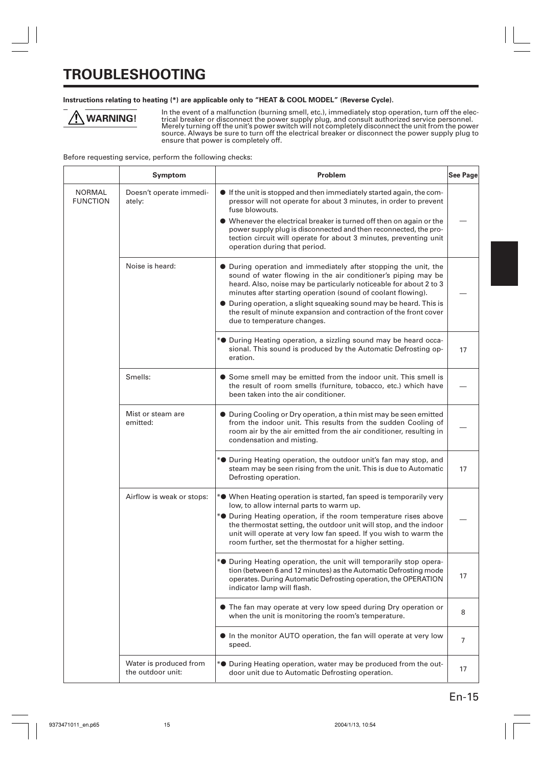## **TROUBLESHOOTING**

#### **Instructions relating to heating (\*) are applicable only to "HEAT & COOL MODEL" (Reverse Cycle).**

⁄ [\ **WARNING!**

In the event of a malfunction (burning smell, etc.), immediately stop operation, turn off the electrical breaker or disconnect the power supply plug, and consult authorized service personnel.<br>Merely turning off the unit's power switch will not completely disconnect the unit from the power<br>source. Always be sure to turn ensure that power is completely off.

Before requesting service, perform the following checks:

|                           | Symptom                                     | Problem                                                                                                                                                                                                                                                                          | <b>See Page</b> |
|---------------------------|---------------------------------------------|----------------------------------------------------------------------------------------------------------------------------------------------------------------------------------------------------------------------------------------------------------------------------------|-----------------|
| NORMAL<br><b>FUNCTION</b> | Doesn't operate immedi-<br>ately:           | • If the unit is stopped and then immediately started again, the com-<br>pressor will not operate for about 3 minutes, in order to prevent<br>fuse blowouts.                                                                                                                     |                 |
|                           |                                             | • Whenever the electrical breaker is turned off then on again or the<br>power supply plug is disconnected and then reconnected, the pro-<br>tection circuit will operate for about 3 minutes, preventing unit<br>operation during that period.                                   |                 |
|                           | Noise is heard:                             | • During operation and immediately after stopping the unit, the<br>sound of water flowing in the air conditioner's piping may be<br>heard. Also, noise may be particularly noticeable for about 2 to 3<br>minutes after starting operation (sound of coolant flowing).           |                 |
|                           |                                             | • During operation, a slight squeaking sound may be heard. This is<br>the result of minute expansion and contraction of the front cover<br>due to temperature changes.                                                                                                           |                 |
|                           |                                             | * <sup>•</sup> During Heating operation, a sizzling sound may be heard occa-<br>sional. This sound is produced by the Automatic Defrosting op-<br>eration.                                                                                                                       | 17              |
|                           | Smells:                                     | • Some smell may be emitted from the indoor unit. This smell is<br>the result of room smells (furniture, tobacco, etc.) which have<br>been taken into the air conditioner.                                                                                                       |                 |
|                           | Mist or steam are<br>emitted:               | • During Cooling or Dry operation, a thin mist may be seen emitted<br>from the indoor unit. This results from the sudden Cooling of<br>room air by the air emitted from the air conditioner, resulting in<br>condensation and misting.                                           |                 |
|                           |                                             | * <sup>•</sup> During Heating operation, the outdoor unit's fan may stop, and<br>steam may be seen rising from the unit. This is due to Automatic<br>Defrosting operation.                                                                                                       | 17              |
|                           | Airflow is weak or stops:                   | * <sup>•</sup> When Heating operation is started, fan speed is temporarily very<br>low, to allow internal parts to warm up.                                                                                                                                                      |                 |
|                           |                                             | * <sup>•</sup> During Heating operation, if the room temperature rises above<br>the thermostat setting, the outdoor unit will stop, and the indoor<br>unit will operate at very low fan speed. If you wish to warm the<br>room further, set the thermostat for a higher setting. |                 |
|                           |                                             | * <sup>•</sup> During Heating operation, the unit will temporarily stop opera-<br>tion (between 6 and 12 minutes) as the Automatic Defrosting mode<br>operates. During Automatic Defrosting operation, the OPERATION<br>indicator lamp will flash.                               | 17              |
|                           |                                             | • The fan may operate at very low speed during Dry operation or<br>when the unit is monitoring the room's temperature.                                                                                                                                                           | 8               |
|                           |                                             | In the monitor AUTO operation, the fan will operate at very low<br>speed.                                                                                                                                                                                                        | $\overline{7}$  |
|                           | Water is produced from<br>the outdoor unit: | * <sup>•</sup> During Heating operation, water may be produced from the out-<br>door unit due to Automatic Defrosting operation.                                                                                                                                                 | 17              |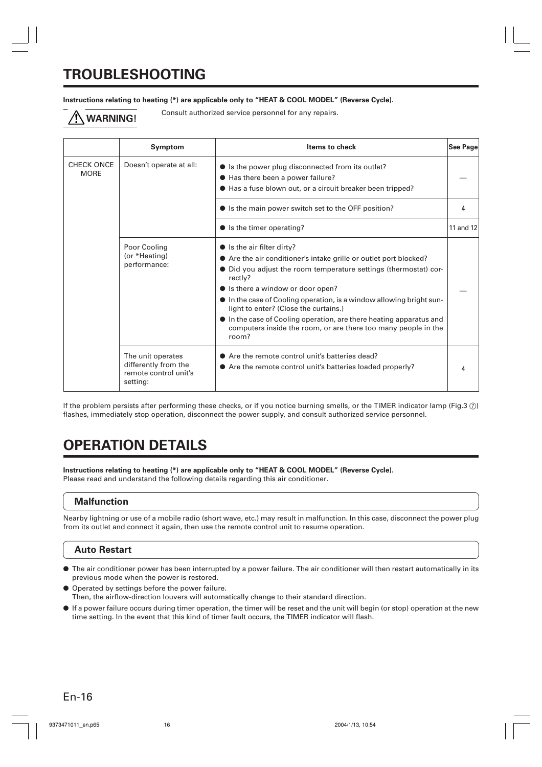## **TROUBLESHOOTING**

#### **Instructions relating to heating (\*) are applicable only to "HEAT & COOL MODEL" (Reverse Cycle).**

Consult authorized service personnel for any repairs. **WARNING!**

|                           | Symptom                                                                        | <b>Items to check</b>                                                                                                                                                                                                                                                                                                                                                                                                                                                                                  | <b>See Page</b> |
|---------------------------|--------------------------------------------------------------------------------|--------------------------------------------------------------------------------------------------------------------------------------------------------------------------------------------------------------------------------------------------------------------------------------------------------------------------------------------------------------------------------------------------------------------------------------------------------------------------------------------------------|-----------------|
| CHECK ONCE<br><b>MORE</b> | Doesn't operate at all:                                                        | • Is the power plug disconnected from its outlet?<br>● Has there been a power failure?<br>● Has a fuse blown out, or a circuit breaker been tripped?                                                                                                                                                                                                                                                                                                                                                   |                 |
|                           |                                                                                | • Is the main power switch set to the OFF position?                                                                                                                                                                                                                                                                                                                                                                                                                                                    | 4               |
|                           |                                                                                | $\bullet$ is the timer operating?                                                                                                                                                                                                                                                                                                                                                                                                                                                                      | 11 and 12       |
|                           | Poor Cooling<br>(or *Heating)<br>performance:                                  | $\bullet$ Is the air filter dirty?<br>• Are the air conditioner's intake grille or outlet port blocked?<br>• Did you adjust the room temperature settings (thermostat) cor-<br>rectly?<br>• Is there a window or door open?<br>$\bullet$ In the case of Cooling operation, is a window allowing bright sun-<br>light to enter? (Close the curtains.)<br>• In the case of Cooling operation, are there heating apparatus and<br>computers inside the room, or are there too many people in the<br>room? |                 |
|                           | The unit operates<br>differently from the<br>remote control unit's<br>setting: | • Are the remote control unit's batteries dead?<br>• Are the remote control unit's batteries loaded properly?                                                                                                                                                                                                                                                                                                                                                                                          |                 |

If the problem persists after performing these checks, or if you notice burning smells, or the TIMER indicator lamp (Fig.3  $\circ$ ) flashes, immediately stop operation, disconnect the power supply, and consult authorized service personnel.

## **OPERATION DETAILS**

**Instructions relating to heating (\*) are applicable only to "HEAT & COOL MODEL" (Reverse Cycle).** Please read and understand the following details regarding this air conditioner.

## **Malfunction**

Nearby lightning or use of a mobile radio (short wave, etc.) may result in malfunction. In this case, disconnect the power plug from its outlet and connect it again, then use the remote control unit to resume operation.

## **Auto Restart**

- The air conditioner power has been interrupted by a power failure. The air conditioner will then restart automatically in its previous mode when the power is restored.
- Operated by settings before the power failure. Then, the airflow-direction louvers will automatically change to their standard direction.
- If a power failure occurs during timer operation, the timer will be reset and the unit will begin (or stop) operation at the new time setting. In the event that this kind of timer fault occurs, the TIMER indicator will flash.